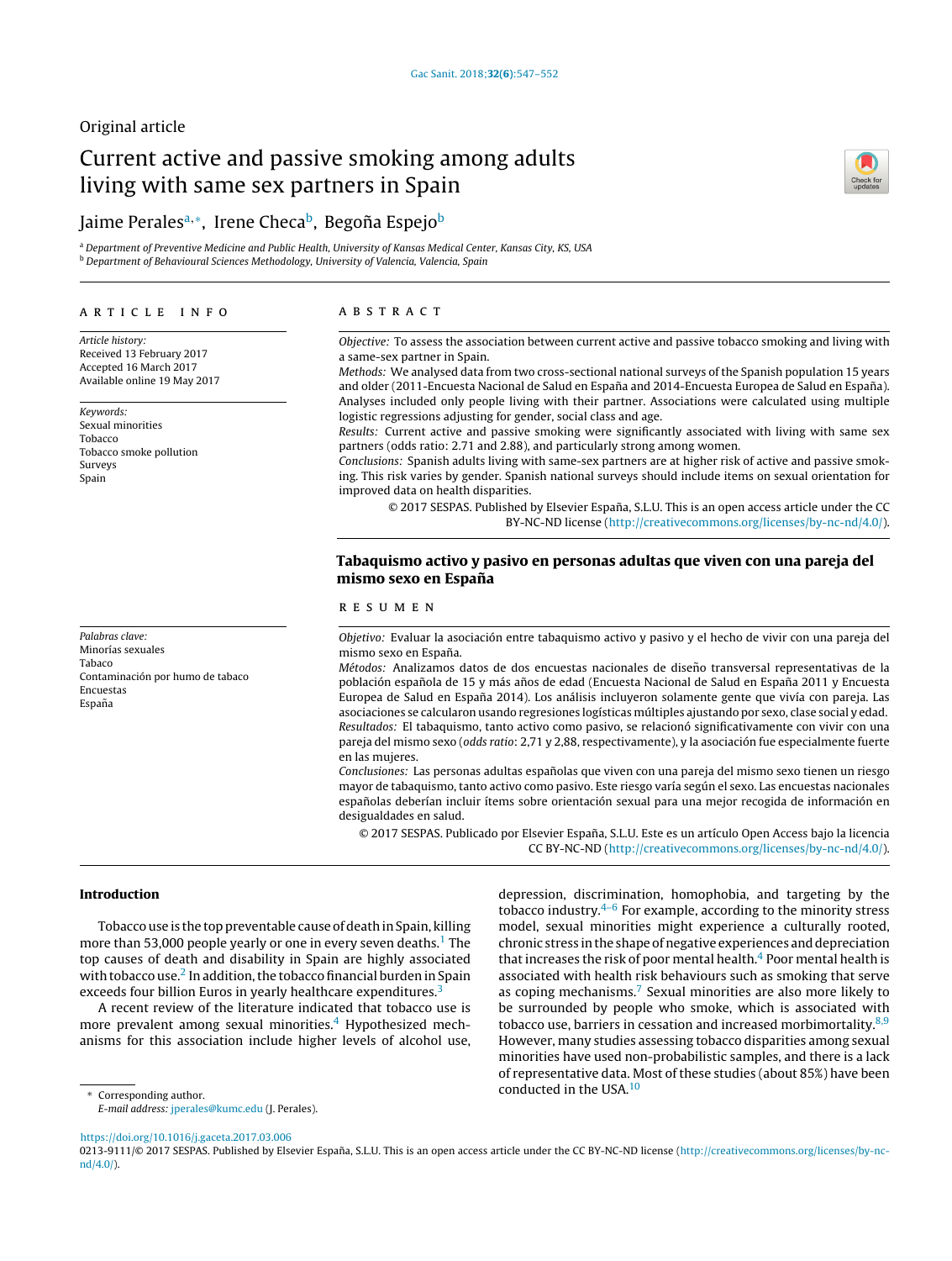# Original article

# Current active and passive smoking among adults living with same sex partners in Spain

Jaime Peralesª,\*, Irene Checa<sup>b</sup>, Begoña Espejo<sup>b</sup>

<sup>a</sup> Department of Preventive Medicine and Public Health, University of Kansas Medical Center, Kansas City, KS, USA b Department of Behavioural Sciences Methodology, University of Valencia, Valencia, Spain

#### ARTICLE INFO

Article history: Received 13 February 2017 Accepted 16 March 2017 Available online 19 May 2017

Keywords: Sexual minorities Tobacco Tobacco smoke pollution Surveys Spain

Palabras clave: Minorías sexuales Tabaco Contaminación por humo de tabaco Encuestas España

## A B S T R A C T

Objective: To assess the association between current active and passive tobacco smoking and living with a same-sex partner in Spain.

Methods: We analysed data from two cross-sectional national surveys of the Spanish population 15 years and older (2011-Encuesta Nacional de Salud en España and 2014-Encuesta Europea de Salud en España). Analyses included only people living with their partner. Associations were calculated using multiple logistic regressions adjusting for gender, social class and age.

Results: Current active and passive smoking were significantly associated with living with same sex partners (odds ratio: 2.71 and 2.88), and particularly strong among women.

Conclusions: Spanish adults living with same-sex partners are at higher risk of active and passive smoking. This risk varies by gender. Spanish national surveys should include items on sexual orientation for improved data on health disparities.

© 2017 SESPAS. Published by Elsevier España, S.L.U. This is an open access article under the CC BY-NC-ND license [\(http://creativecommons.org/licenses/by-nc-nd/4.0/](http://creativecommons.org/licenses/by-nc-nd/4.0/)).

# Tabaquismo activo y pasivo en personas adultas que viven con una pareja del mismo sexo en España

# r e s u m e n

Objetivo: Evaluar la asociación entre tabaquismo activo y pasivo y el hecho de vivir con una pareja del mismo sexo en España.

Métodos: Analizamos datos de dos encuestas nacionales de diseño transversal representativas de la población española de 15 y más años de edad (Encuesta Nacional de Salud en España 2011 y Encuesta Europea de Salud en España 2014). Los análisis incluyeron solamente gente que vivía con pareja. Las asociaciones se calcularon usando regresiones logísticas múltiples ajustando por sexo, clase social y edad. Resultados: El tabaquismo, tanto activo como pasivo, se relacionó significativamente con vivir con una pareja del mismo sexo (odds ratio: 2,71 y 2,88, respectivamente), y la asociación fue especialmente fuerte en las mujeres.

Conclusiones: Las personas adultas españolas que viven con una pareja del mismo sexo tienen un riesgo mayor de tabaquismo, tanto activo como pasivo. Este riesgo varía según el sexo. Las encuestas nacionales españolas deberían incluir ítems sobre orientación sexual para una mejor recogida de información en desigualdades en salud.

© 2017 SESPAS. Publicado por Elsevier España, S.L.U. Este es un artículo Open Access bajo la licencia CC BY-NC-ND [\(http://creativecommons.org/licenses/by-nc-nd/4.0/](http://creativecommons.org/licenses/by-nc-nd/4.0/)).

#### Introduction

Tobacco use is the top preventable cause of death in Spain, killing more than 53,000 people yearly or one in every seven deaths.<sup>[1](#page-4-0)</sup> The top causes of death and disability in Spain are highly associated with tobacco use. $^2$  [In](#page-4-0) addition, the tobacco financial burden in Spain exceeds four billion Euros in yearly healthcare expenditures.<sup>[3](#page-4-0)</sup>

A recent review of the literature indicated that tobacco use is more prevalent among sexual minorities. $4$  Hypothesized mechanisms for this association include higher levels of alcohol use,

E-mail address: [jperales@kumc.edu](mailto:jperales@kumc.edu) (J. Perales).

Corresponding author.

<https://doi.org/10.1016/j.gaceta.2017.03.006>



depression, discrimination, homophobia, and targeting by the tobacco industry. $4-6$  For example, according to the minority stress model, sexual minorities might experience a culturally rooted, chronic stress in the shape of negative experiences and depreciation that increases the risk of poor mental health. $4$  [P](#page-4-0)oor mental health is associated with health risk behaviours such as smoking that serve as coping mechanisms.<sup>[7](#page-4-0)</sup> Sexual minorities are also more likely to be surrounded by people who smoke, which is associated with tobacco use, barriers in cessation and increased morbimortality.<sup>[8,9](#page-4-0)</sup> However, many studies assessing tobacco disparities among sexual minorities have used non-probabilistic samples, and there is a lack of representative data. Most of these studies (about 85%) have been conducted in the USA.[10](#page-4-0)

<sup>0213-9111/© 2017</sup> SESPAS. Published by Elsevier España, S.L.U. This is an open access article under the CC BY-NC-ND license [\(http://creativecommons.org/licenses/by-nc](http://creativecommons.org/licenses/by-nc-nd/4.0/)[nd/4.0/\)](http://creativecommons.org/licenses/by-nc-nd/4.0/).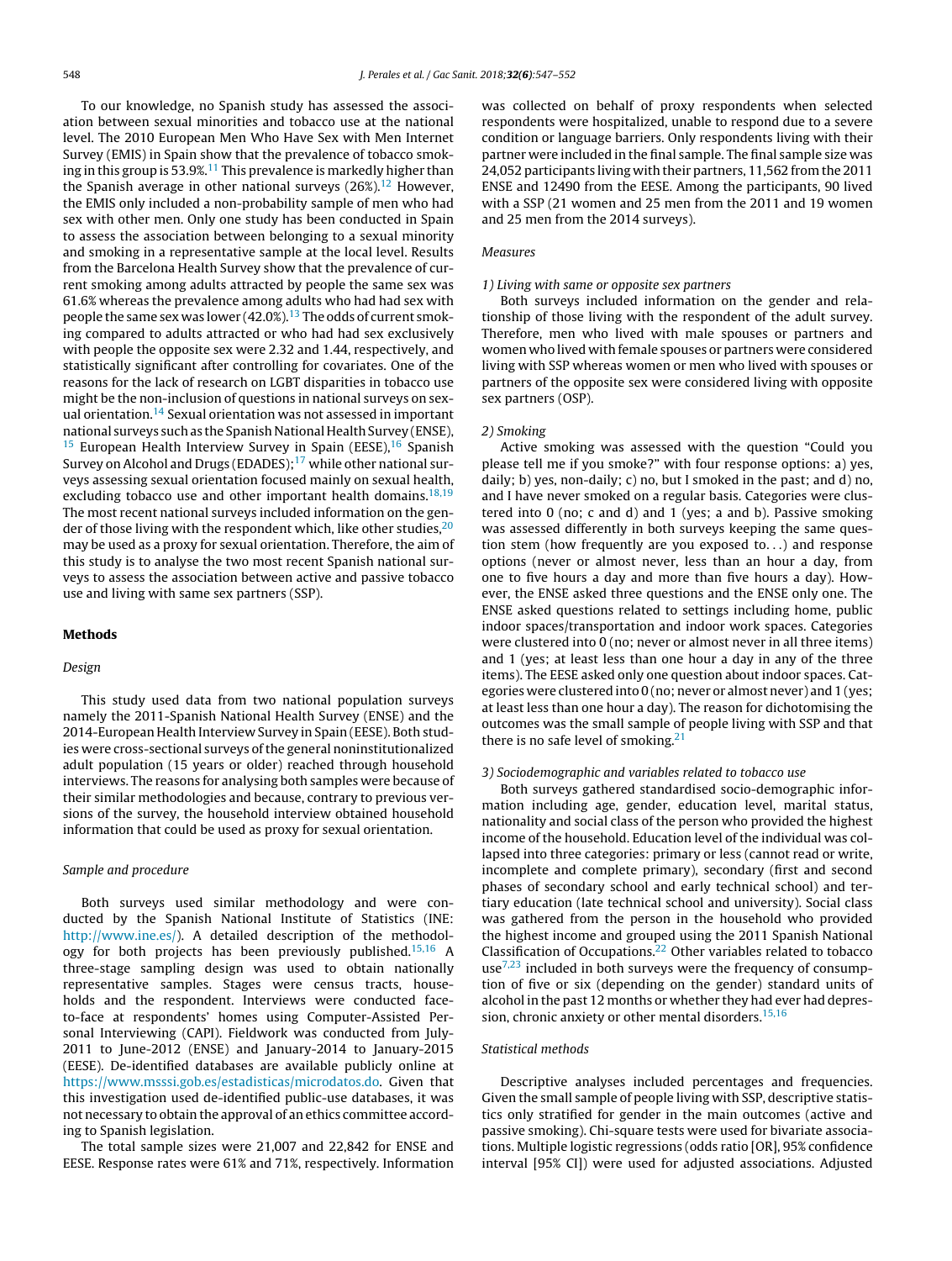To our knowledge, no Spanish study has assessed the association between sexual minorities and tobacco use at the national level. The 2010 European Men Who Have Sex with Men Internet Survey (EMIS) in Spain show that the prevalence of tobacco smok-ing in this group is 53.9%.<sup>[11](#page-4-0)</sup> This prevalence is markedly higher than the Spanish average in other national surveys  $(26\%)$ <sup>[12](#page-4-0)</sup> However, the EMIS only included a non-probability sample of men who had sex with other men. Only one study has been conducted in Spain to assess the association between belonging to a sexual minority and smoking in a representative sample at the local level. Results from the Barcelona Health Survey show that the prevalence of current smoking among adults attracted by people the same sex was 61.6% whereas the prevalence among adults who had had sex with people the same sex was lower (42.0%).<sup>[13](#page-4-0)</sup> The odds of current smoking compared to adults attracted or who had had sex exclusively with people the opposite sex were 2.32 and 1.44, respectively, and statistically significant after controlling for covariates. One of the reasons for the lack of research on LGBT disparities in tobacco use might be the non-inclusion of questions in national surveys on sex-ual orientation.<sup>[14](#page-4-0)</sup> Sexual orientation was not assessed in important national surveys such as the Spanish National Health Survey (ENSE),  $15$  European Health Interview Survey in Spain (EESE),  $16$  Spanish Survey on Alcohol and Drugs (EDADES);<sup>[17](#page-4-0)</sup> while other national surveys assessing sexual orientation focused mainly on sexual health, excluding tobacco use and other important health domains.<sup>[18,19](#page-4-0)</sup> The most recent national surveys included information on the gen-der of those living with the respondent which, like other studies,<sup>[20](#page-4-0)</sup> may be used as a proxy for sexual orientation. Therefore, the aim of this study is to analyse the two most recent Spanish national surveys to assess the association between active and passive tobacco use and living with same sex partners (SSP).

## Methods

# Design

This study used data from two national population surveys namely the 2011-Spanish National Health Survey (ENSE) and the 2014-European Health Interview Survey in Spain (EESE). Both studies were cross-sectional surveys of the general noninstitutionalized adult population (15 years or older) reached through household interviews. The reasons for analysing both samples were because of their similar methodologies and because, contrary to previous versions of the survey, the household interview obtained household information that could be used as proxy for sexual orientation.

#### Sample and procedure

Both surveys used similar methodology and were conducted by the Spanish National Institute of Statistics (INE: [http://www.ine.es/\)](http://www.ine.es/). A detailed description of the methodol-ogy for both projects has been previously published.<sup>[15,16](#page-4-0)</sup> A three-stage sampling design was used to obtain nationally representative samples. Stages were census tracts, households and the respondent. Interviews were conducted faceto-face at respondents' homes using Computer-Assisted Personal Interviewing (CAPI). Fieldwork was conducted from July-2011 to June-2012 (ENSE) and January-2014 to January-2015 (EESE). De-identified databases are available publicly online at [https://www.msssi.gob.es/estadisticas/microdatos.do.](https://www.msssi.gob.es/estadisticas/microdatos.do) Given that this investigation used de-identified public-use databases, it was not necessary to obtain the approval of an ethics committee according to Spanish legislation.

The total sample sizes were 21,007 and 22,842 for ENSE and EESE. Response rates were 61% and 71%, respectively. Information was collected on behalf of proxy respondents when selected respondents were hospitalized, unable to respond due to a severe condition or language barriers. Only respondents living with their partner were included in the final sample. The final sample size was 24,052 participants living with their partners, 11,562 from the 2011 ENSE and 12490 from the EESE. Among the participants, 90 lived with a SSP (21 women and 25 men from the 2011 and 19 women and 25 men from the 2014 surveys).

#### Measures

## 1) Living with same or opposite sex partners

Both surveys included information on the gender and relationship of those living with the respondent of the adult survey. Therefore, men who lived with male spouses or partners and women who lived with female spouses or partners were considered living with SSP whereas women or men who lived with spouses or partners of the opposite sex were considered living with opposite sex partners (OSP).

#### 2) Smoking

Active smoking was assessed with the question "Could you please tell me if you smoke?" with four response options: a) yes, daily; b) yes, non-daily; c) no, but I smoked in the past; and d) no, and I have never smoked on a regular basis. Categories were clustered into 0 (no; c and d) and 1 (yes; a and b). Passive smoking was assessed differently in both surveys keeping the same question stem (how frequently are you exposed to. . .) and response options (never or almost never, less than an hour a day, from one to five hours a day and more than five hours a day). However, the ENSE asked three questions and the ENSE only one. The ENSE asked questions related to settings including home, public indoor spaces/transportation and indoor work spaces. Categories were clustered into 0 (no; never or almost never in all three items) and 1 (yes; at least less than one hour a day in any of the three items). The EESE asked only one question about indoor spaces. Categories were clustered into 0 (no; never or almost never) and 1 (yes; at least less than one hour a day). The reason for dichotomising the outcomes was the small sample of people living with SSP and that there is no safe level of smoking. $21$ 

#### 3) Sociodemographic and variables related to tobacco use

Both surveys gathered standardised socio-demographic information including age, gender, education level, marital status, nationality and social class of the person who provided the highest income of the household. Education level of the individual was collapsed into three categories: primary or less (cannot read or write, incomplete and complete primary), secondary (first and second phases of secondary school and early technical school) and tertiary education (late technical school and university). Social class was gathered from the person in the household who provided the highest income and grouped using the 2011 Spanish National Classification of Occupations.[22](#page-4-0) Other variables related to tobacco use<sup>[7,23](#page-4-0)</sup> included in both surveys were the frequency of consumption of five or six (depending on the gender) standard units of alcohol in the past 12 months or whether they had ever had depres-sion, chronic anxiety or other mental disorders.<sup>[15,16](#page-4-0)</sup>

### Statistical methods

Descriptive analyses included percentages and frequencies. Given the small sample of people living with SSP, descriptive statistics only stratified for gender in the main outcomes (active and passive smoking). Chi-square tests were used for bivariate associations. Multiple logistic regressions (odds ratio [OR], 95% confidence interval [95% CI]) were used for adjusted associations. Adjusted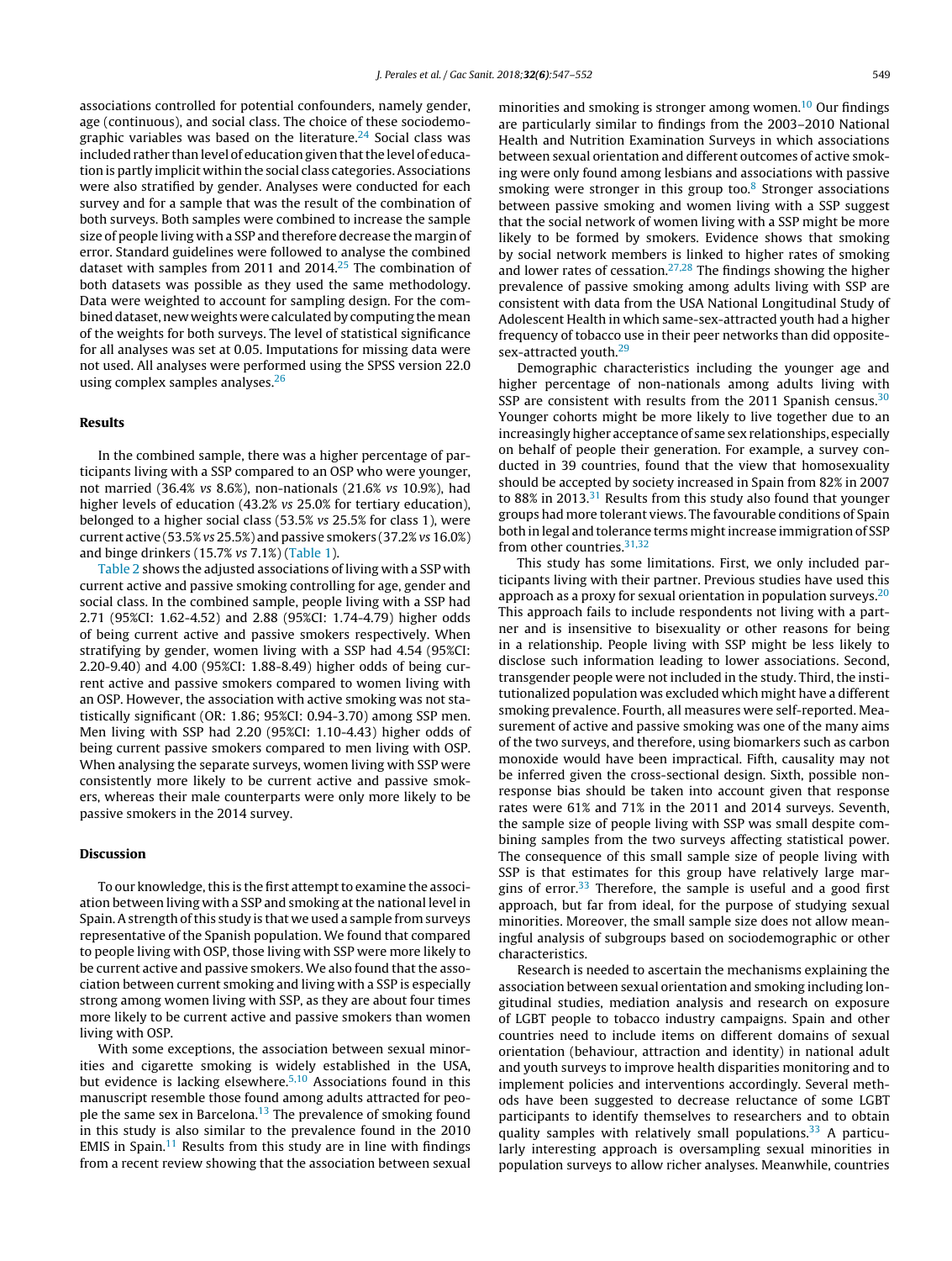associations controlled for potential confounders, namely gender, age (continuous), and social class. The choice of these sociodemographic variables was based on the literature. $24$  Social class was included rather than level of education given that the level of education is partly implicit within the social class categories. Associations were also stratified by gender. Analyses were conducted for each survey and for a sample that was the result of the combination of both surveys. Both samples were combined to increase the sample size of people living with a SSP and therefore decrease the margin of error. Standard guidelines were followed to analyse the combined dataset with samples from 2011 and 2014.<sup>[25](#page-4-0)</sup> The combination of both datasets was possible as they used the same methodology. Data were weighted to account for sampling design. For the combined dataset, new weights were calculated by computing the mean of the weights for both surveys. The level of statistical significance for all analyses was set at 0.05. Imputations for missing data were not used. All analyses were performed using the SPSS version 22.0 using complex samples analyses.<sup>[26](#page-4-0)</sup>

## Results

In the combined sample, there was a higher percentage of participants living with a SSP compared to an OSP who were younger, not married (36.4% vs 8.6%), non-nationals (21.6% vs 10.9%), had higher levels of education (43.2% vs 25.0% for tertiary education), belonged to a higher social class (53.5% vs 25.5% for class 1), were current active (53.5%vs 25.5%) and passive smokers (37.2%vs 16.0%) and binge drinkers (15.7% vs 7.1%) ([Table](#page-3-0) 1).

[Table](#page-3-0) 2 shows the adjusted associations of living with a SSP with current active and passive smoking controlling for age, gender and social class. In the combined sample, people living with a SSP had 2.71 (95%CI: 1.62-4.52) and 2.88 (95%CI: 1.74-4.79) higher odds of being current active and passive smokers respectively. When stratifying by gender, women living with a SSP had 4.54 (95%CI: 2.20-9.40) and 4.00 (95%CI: 1.88-8.49) higher odds of being current active and passive smokers compared to women living with an OSP. However, the association with active smoking was not statistically significant (OR: 1.86; 95%CI: 0.94-3.70) among SSP men. Men living with SSP had 2.20 (95%CI: 1.10-4.43) higher odds of being current passive smokers compared to men living with OSP. When analysing the separate surveys, women living with SSP were consistently more likely to be current active and passive smokers, whereas their male counterparts were only more likely to be passive smokers in the 2014 survey.

# Discussion

To our knowledge, this is the first attempt to examine the association between living with a SSP and smoking at the national level in Spain.Astrength ofthis study is that we used a sample from surveys representative of the Spanish population. We found that compared to people living with OSP, those living with SSP were more likely to be current active and passive smokers. We also found that the association between current smoking and living with a SSP is especially strong among women living with SSP, as they are about four times more likely to be current active and passive smokers than women living with OSP.

With some exceptions, the association between sexual minorities and cigarette smoking is widely established in the USA, but evidence is lacking elsewhere.<sup>[5,10](#page-4-0)</sup> Associations found in this manuscript resemble those found among adults attracted for peo-ple the same sex in Barcelona.<sup>[13](#page-4-0)</sup> The prevalence of smoking found in this study is also similar to the prevalence found in the 2010 EMIS in Spain. $11$  Results from this study are in line with findings from a recent review showing that the association between sexual

minorities and smoking is stronger among women.<sup>[10](#page-4-0)</sup> Our findings are particularly similar to findings from the 2003–2010 National Health and Nutrition Examination Surveys in which associations between sexual orientation and different outcomes of active smoking were only found among lesbians and associations with passive smoking were stronger in this group too. $8$  Stronger associations between passive smoking and women living with a SSP suggest that the social network of women living with a SSP might be more likely to be formed by smokers. Evidence shows that smoking by social network members is linked to higher rates of smoking and lower rates of cessation.[27,28](#page-5-0) The findings showing the higher prevalence of passive smoking among adults living with SSP are consistent with data from the USA National Longitudinal Study of Adolescent Health in which same-sex-attracted youth had a higher frequency of tobacco use in their peer networks than did opposite-sex-attracted youth.<sup>[29](#page-5-0)</sup>

Demographic characteristics including the younger age and higher percentage of non-nationals among adults living with SSP are consistent with results from the 2011 Spanish census.<sup>[30](#page-5-0)</sup> Younger cohorts might be more likely to live together due to an increasingly higher acceptance of same sex relationships, especially on behalf of people their generation. For example, a survey conducted in 39 countries, found that the view that homosexuality should be accepted by society increased in Spain from 82% in 2007 to 88% in 2013.<sup>[31](#page-5-0)</sup> Results from this study also found that younger groups had more tolerant views. The favourable conditions of Spain both in legal and tolerance terms might increase immigration of SSP from other countries.<sup>[31,32](#page-5-0)</sup>

This study has some limitations. First, we only included participants living with their partner. Previous studies have used this approach as a proxy for sexual orientation in population surveys. $20$ This approach fails to include respondents not living with a partner and is insensitive to bisexuality or other reasons for being in a relationship. People living with SSP might be less likely to disclose such information leading to lower associations. Second, transgender people were not included in the study. Third, the institutionalized population was excluded which might have a different smoking prevalence. Fourth, all measures were self-reported. Measurement of active and passive smoking was one of the many aims of the two surveys, and therefore, using biomarkers such as carbon monoxide would have been impractical. Fifth, causality may not be inferred given the cross-sectional design. Sixth, possible nonresponse bias should be taken into account given that response rates were 61% and 71% in the 2011 and 2014 surveys. Seventh, the sample size of people living with SSP was small despite combining samples from the two surveys affecting statistical power. The consequence of this small sample size of people living with SSP is that estimates for this group have relatively large margins of error. $33$  Therefore, the sample is useful and a good first approach, but far from ideal, for the purpose of studying sexual minorities. Moreover, the small sample size does not allow meaningful analysis of subgroups based on sociodemographic or other characteristics.

Research is needed to ascertain the mechanisms explaining the association between sexual orientation and smoking including longitudinal studies, mediation analysis and research on exposure of LGBT people to tobacco industry campaigns. Spain and other countries need to include items on different domains of sexual orientation (behaviour, attraction and identity) in national adult and youth surveys to improve health disparities monitoring and to implement policies and interventions accordingly. Several methods have been suggested to decrease reluctance of some LGBT participants to identify themselves to researchers and to obtain quality samples with relatively small populations. $33$  A particularly interesting approach is oversampling sexual minorities in population surveys to allow richer analyses. Meanwhile, countries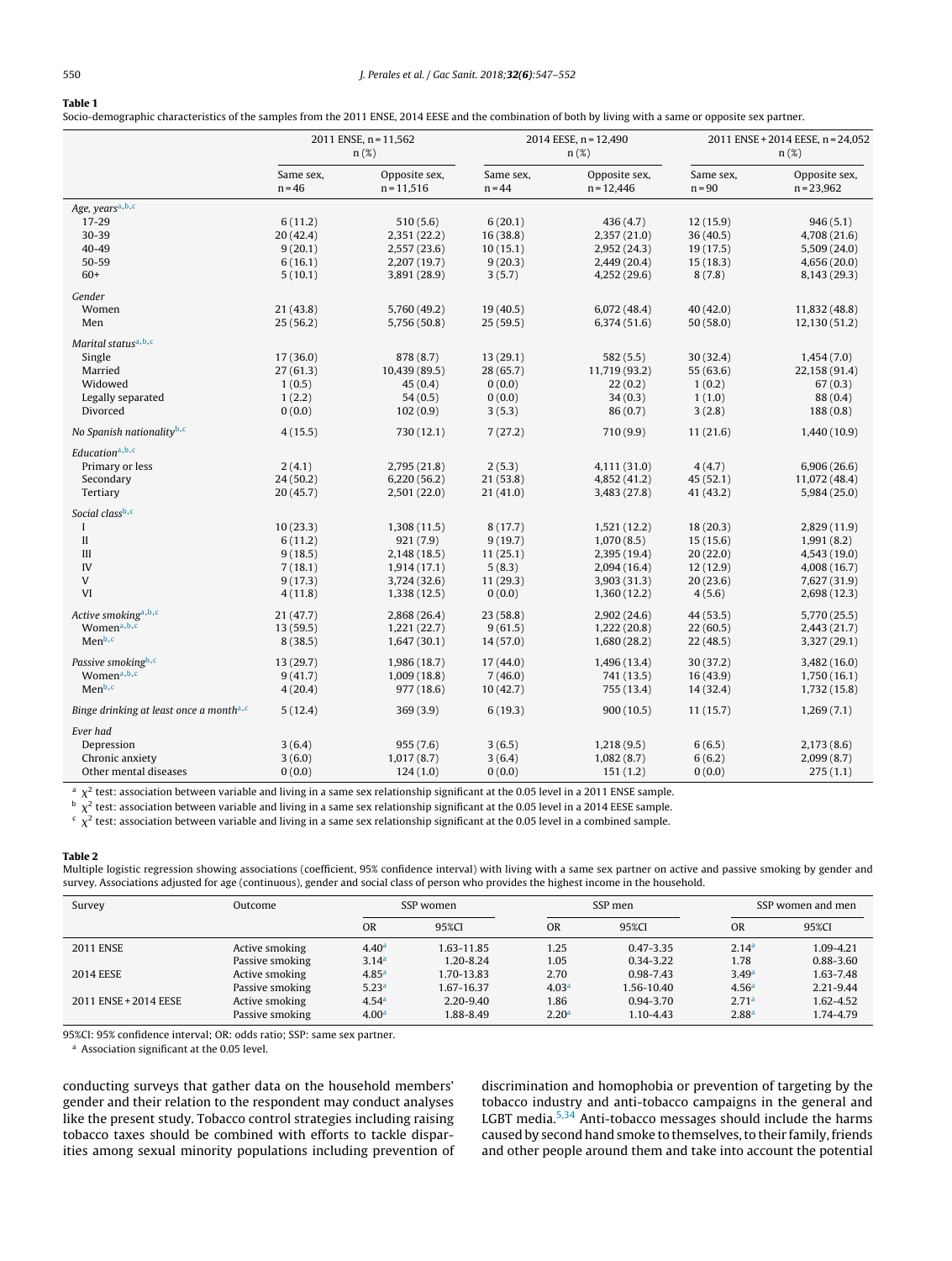# <span id="page-3-0"></span>Table 1

Socio-demographic characteristics of the samples from the 2011 ENSE, 2014 EESE and the combination of both by living with a same or opposite sex partner.

|                                                     | 2011 ENSE, n = 11,562<br>$n(\%)$ |                               |                       | 2014 EESE, n = 12,490<br>$n(\%)$ | 2011 ENSE + 2014 EESE, n = 24,052<br>$n(\%)$ |                               |
|-----------------------------------------------------|----------------------------------|-------------------------------|-----------------------|----------------------------------|----------------------------------------------|-------------------------------|
|                                                     | Same sex,<br>$n = 46$            | Opposite sex,<br>$n = 11,516$ | Same sex,<br>$n = 44$ | Opposite sex,<br>$n = 12,446$    | Same sex,<br>$n = 90$                        | Opposite sex,<br>$n = 23,962$ |
| Age, years <sup>a,b,c</sup>                         |                                  |                               |                       |                                  |                                              |                               |
| 17-29                                               | 6(11.2)                          | 510(5.6)                      | 6(20.1)               | 436 (4.7)                        | 12(15.9)                                     | 946(5.1)                      |
| 30-39                                               | 20(42.4)                         | 2,351 (22.2)                  | 16(38.8)              | 2,357 (21.0)                     | 36(40.5)                                     | 4,708 (21.6)                  |
| 40-49                                               | 9(20.1)                          | 2,557(23.6)                   | 10(15.1)              | 2,952 (24.3)                     | 19(17.5)                                     | 5,509 (24.0)                  |
| 50-59                                               | 6(16.1)                          | 2,207 (19.7)                  | 9(20.3)               | 2,449 (20.4)                     | 15(18.3)                                     | 4,656(20.0)                   |
| $60+$                                               | 5(10.1)                          | 3,891 (28.9)                  | 3(5.7)                | 4,252 (29.6)                     | 8(7.8)                                       | 8,143 (29.3)                  |
| Gender                                              |                                  |                               |                       |                                  |                                              |                               |
| Women                                               | 21(43.8)                         | 5,760 (49.2)                  | 19(40.5)              | 6,072 (48.4)                     | 40 (42.0)                                    | 11,832 (48.8)                 |
| Men                                                 | 25(56.2)                         | 5,756 (50.8)                  | 25(59.5)              | 6,374 (51.6)                     | 50(58.0)                                     | 12,130 (51.2)                 |
| Marital status <sup>a, b, c</sup>                   |                                  |                               |                       |                                  |                                              |                               |
| Single                                              | 17(36.0)                         | 878 (8.7)                     | 13(29.1)              | 582(5.5)                         | 30(32.4)                                     | 1,454(7.0)                    |
| Married                                             | 27(61.3)                         | 10,439 (89.5)                 | 28 (65.7)             | 11,719 (93.2)                    | 55(63.6)                                     | 22,158 (91.4)                 |
| Widowed                                             | 1(0.5)                           | 45(0.4)                       | 0(0.0)                | 22(0.2)                          | 1(0.2)                                       | 67(0.3)                       |
| Legally separated                                   | 1(2.2)                           | 54(0.5)                       | 0(0.0)                | 34(0.3)                          | 1(1.0)                                       | 88 (0.4)                      |
| Divorced                                            | 0(0.0)                           | 102(0.9)                      | 3(5.3)                | 86(0.7)                          | 3(2.8)                                       | 188(0.8)                      |
| No Spanish nationality <sup>b,c</sup>               | 4(15.5)                          | 730(12.1)                     | 7(27.2)               | 710(9.9)                         | 11(21.6)                                     | 1,440 (10.9)                  |
| Education <sup>a, b, c</sup>                        |                                  |                               |                       |                                  |                                              |                               |
| Primary or less                                     | 2(4.1)                           | 2,795(21.8)                   | 2(5.3)                | 4,111 (31.0)                     | 4(4.7)                                       | 6,906(26.6)                   |
| Secondary                                           | 24(50.2)                         | 6,220(56.2)                   | 21(53.8)              | 4,852 (41.2)                     | 45(52.1)                                     | 11,072 (48.4)                 |
| Tertiary                                            | 20(45.7)                         | 2,501(22.0)                   | 21(41.0)              | 3,483 (27.8)                     | 41 (43.2)                                    | 5,984 (25.0)                  |
| Social classb,c                                     |                                  |                               |                       |                                  |                                              |                               |
| $\mathbf{I}$                                        | 10(23.3)                         | 1,308(11.5)                   | 8(17.7)               | 1,521 (12.2)                     | 18(20.3)                                     | 2,829 (11.9)                  |
| $\mathbf{I}$                                        | 6(11.2)                          | 921 (7.9)                     | 9(19.7)               | 1,070(8.5)                       | 15(15.6)                                     | 1,991(8.2)                    |
| Ш                                                   | 9(18.5)                          | 2,148(18.5)                   | 11(25.1)              | 2,395 (19.4)                     | 20(22.0)                                     | 4,543 (19.0)                  |
| IV                                                  | 7(18.1)                          | 1,914(17.1)                   | 5(8.3)                | 2,094(16.4)                      | 12(12.9)                                     | 4,008 (16.7)                  |
| V                                                   | 9(17.3)                          | 3,724 (32.6)                  | 11(29.3)              | 3,903 (31.3)                     | 20(23.6)                                     | 7,627 (31.9)                  |
| VI                                                  | 4(11.8)                          | 1,338(12.5)                   | 0(0.0)                | 1,360 (12.2)                     | 4(5.6)                                       | 2,698 (12.3)                  |
| Active smoking <sup>a,b,c</sup>                     | 21(47.7)                         | 2,868 (26.4)                  | 23(58.8)              | 2,902 (24.6)                     | 44 (53.5)                                    | 5,770 (25.5)                  |
| Women <sup>a, b, c</sup>                            | 13(59.5)                         | 1,221(22.7)                   | 9(61.5)               | 1,222(20.8)                      | 22(60.5)                                     | 2,443 (21.7)                  |
| Men <sup>b,c</sup>                                  | 8(38.5)                          | 1,647(30.1)                   | 14(57.0)              | 1,680 (28.2)                     | 22(48.5)                                     | 3,327 (29.1)                  |
| Passive smokingb,c                                  | 13(29.7)                         | 1,986 (18.7)                  | 17(44.0)              | 1,496 (13.4)                     | 30(37.2)                                     | 3,482 (16.0)                  |
| Women <sup>a,b,c</sup>                              | 9(41.7)                          | 1,009(18.8)                   | 7(46.0)               | 741 (13.5)                       | 16(43.9)                                     | 1,750(16.1)                   |
| Men <sup>b,c</sup>                                  | 4(20.4)                          | 977 (18.6)                    | 10(42.7)              | 755 (13.4)                       | 14(32.4)                                     | 1,732 (15.8)                  |
| Binge drinking at least once a month <sup>a,c</sup> | 5(12.4)                          | 369(3.9)                      | 6(19.3)               | 900(10.5)                        | 11(15.7)                                     | 1,269(7.1)                    |
| Ever had                                            |                                  |                               |                       |                                  |                                              |                               |
| Depression                                          | 3(6.4)                           | 955(7.6)                      | 3(6.5)                | 1,218(9.5)                       | 6(6.5)                                       | 2,173(8.6)                    |
| Chronic anxiety                                     | 3(6.0)                           | 1,017(8.7)                    | 3(6.4)                | 1,082(8.7)                       | 6(6.2)                                       | 2,099(8.7)                    |
| Other mental diseases                               | 0(0.0)                           | 124(1.0)                      | 0(0.0)                | 151(1.2)                         | 0(0.0)                                       | 275(1.1)                      |

 $^{\rm a}$   $\chi^{\rm 2}$  test: association between variable and living in a same sex relationship significant at the 0.05 level in a 2011 ENSE sample.

 $^{\rm b}$   $\chi^{\rm 2}$  test: association between variable and living in a same sex relationship significant at the 0.05 level in a 2014 EESE sample.

 $^{\mathsf{c}}$   $\chi^2$  test: association between variable and living in a same sex relationship significant at the 0.05 level in a combined sample.

# Table 2

Multiple logistic regression showing associations (coefficient, 95% confidence interval) with living with a same sex partner on active and passive smoking by gender and survey. Associations adjusted for age (continuous), gender and social class of person who provides the highest income in the household.

| Survey                | Outcome         | SSP women         |               | SSP men           |               | SSP women and men |               |
|-----------------------|-----------------|-------------------|---------------|-------------------|---------------|-------------------|---------------|
|                       |                 | <b>OR</b>         | 95%CI         | <b>OR</b>         | 95%CI         | <b>OR</b>         | 95%CI         |
| <b>2011 ENSE</b>      | Active smoking  | 4.40 <sup>a</sup> | 1.63-11.85    | 1.25              | $0.47 - 3.35$ | 2.14 <sup>a</sup> | 1.09-4.21     |
|                       | Passive smoking | 3.14a             | 1.20-8.24     | 1.05              | 0.34-3.22     | 1.78              | $0.88 - 3.60$ |
| <b>2014 EESE</b>      | Active smoking  | 4.85 <sup>a</sup> | 1.70-13.83    | 2.70              | 0.98-7.43     | 3.49a             | 1.63-7.48     |
|                       | Passive smoking | 5.23 <sup>a</sup> | 1.67-16.37    | 4.03 <sup>a</sup> | 1.56-10.40    | 4.56 <sup>a</sup> | 2.21-9.44     |
| 2011 ENSE + 2014 EESE | Active smoking  | 4.54 <sup>a</sup> | $2.20 - 9.40$ | 1.86              | $0.94 - 3.70$ | 2.71 <sup>a</sup> | 1.62-4.52     |
|                       | Passive smoking | 4.00 <sup>a</sup> | 1.88-8.49     | 2.20 <sup>a</sup> | 1.10-4.43     | 2.88 <sup>a</sup> | 1.74-4.79     |

95%CI: 95% confidence interval; OR: odds ratio; SSP: same sex partner.

<sup>a</sup> Association significant at the 0.05 level.

conducting surveys that gather data on the household members' gender and their relation to the respondent may conduct analyses like the present study. Tobacco control strategies including raising tobacco taxes should be combined with efforts to tackle disparities among sexual minority populations including prevention of discrimination and homophobia or prevention of targeting by the tobacco industry and anti-tobacco campaigns in the general and LGBT media.<sup>[5,34](#page-4-0)</sup> Anti-tobacco messages should include the harms caused by second hand smoke to themselves, to their family, friends and other people around them and take into account the potential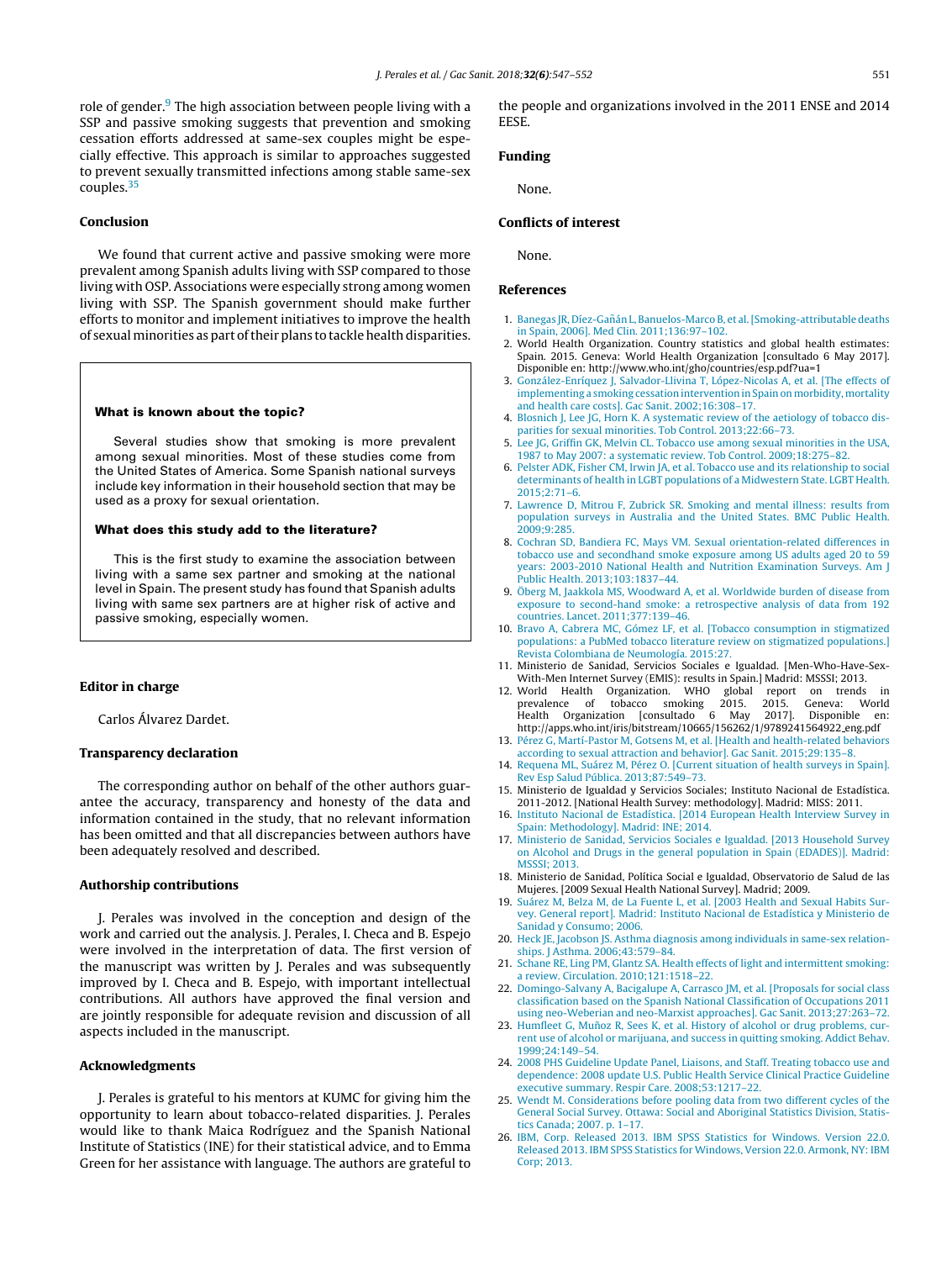<span id="page-4-0"></span>role of gender.<sup>9</sup> The high association between people living with a SSP and passive smoking suggests that prevention and smoking cessation efforts addressed at same-sex couples might be especially effective. This approach is similar to approaches suggested to prevent sexually transmitted infections among stable same-sex couples.[35](#page-5-0)

## Conclusion

We found that current active and passive smoking were more prevalent among Spanish adults living with SSP compared to those living with OSP. Associations were especially strong among women living with SSP. The Spanish government should make further efforts to monitor and implement initiatives to improve the health of sexual minorities as part of their plans to tackle health disparities.

#### What is known about the topic?

Several studies show that smoking is more prevalent among sexual minorities. Most of these studies come from the United States of America. Some Spanish national surveys include key information in their household section that may be used as a proxy for sexual orientation.

#### What does this study add to the literature?

This is the first study to examine the association between living with a same sex partner and smoking at the national level in Spain. The present study has found that Spanish adults living with same sex partners are at higher risk of active and passive smoking, especially women.

## Editor in charge

Carlos Álvarez Dardet.

## Transparency declaration

The corresponding author on behalf of the other authors guarantee the accuracy, transparency and honesty of the data and information contained in the study, that no relevant information has been omitted and that all discrepancies between authors have been adequately resolved and described.

#### Authorship contributions

J. Perales was involved in the conception and design of the work and carried out the analysis. J. Perales, I. Checa and B. Espejo were involved in the interpretation of data. The first version of the manuscript was written by J. Perales and was subsequently improved by I. Checa and B. Espejo, with important intellectual contributions. All authors have approved the final version and are jointly responsible for adequate revision and discussion of all aspects included in the manuscript.

## Acknowledgments

J. Perales is grateful to his mentors at KUMC for giving him the opportunity to learn about tobacco-related disparities. J. Perales would like to thank Maica Rodríguez and the Spanish National Institute of Statistics (INE) for their statistical advice, and to Emma Green for her assistance with language. The authors are grateful to the people and organizations involved in the 2011 ENSE and 2014 EESE.

# Funding

None.

# Conflicts of interest

None.

# References

- 1. Banegas JR, Díez-Gañán L, Banuelos-Marco B, et al. [Smoking-attributable deaths in Spain, 2006]. Med Clin. 2011;136:97–102.
- 2. World Health Organization. Country statistics and global health estimates: Spain. 2015. Geneva: World Health Organization [consultado 6 May 2017]. Disponible en: http://www.who.int/gho/countries/esp.pdf?ua=1
- 3. González-Enríquez J, Salvador-Llivina T, López-Nicolas A, et al. [The effects of implementing a smoking cessation intervention in Spain on morbidity, mortality and health care costs]. Gac Sanit. 2002;16:308–17.
- 4. Blosnich J, Lee JG, Horn K. A systematic review of the aetiology of tobacco disparities for sexual minorities. Tob Control. 2013;22:66–73.
- 5. Lee JG, Griffin GK, Melvin CL. Tobacco use among sexual minorities in the USA, 1987 to May 2007: a systematic review. Tob Control. 2009;18:275–82.
- 6. Pelster ADK, Fisher CM, Irwin JA, et al. Tobacco use and its relationship to social determinants of health in LGBT populations of a Midwestern State. LGBT Health.  $2015:2:71-6$
- 7. Lawrence D, Mitrou F, Zubrick SR. Smoking and mental illness: results from population surveys in Australia and the United States. BMC Public Health.  $2009:9:285$
- 8. Cochran SD, Bandiera FC, Mays VM. Sexual orientation-related differences in tobacco use and secondhand smoke exposure among US adults aged 20 to 59 years: 2003-2010 National Health and Nutrition Examination Surveys. Am J Public Health. 2013;103:1837–44.
- 9. Öberg M, Jaakkola MS, Woodward A, et al. Worldwide burden of disease from exposure to second-hand smoke: a retrospective analysis of data from 192 countries. Lancet. 2011;377:139–46.
- 10. Bravo A, Cabrera MC, Gómez LF, et al. [Tobacco consumption in stigmatized populations: a PubMed tobacco literature review on stigmatized populations.] Revista Colombiana de Neumología. 2015:27.
- 11. Ministerio de Sanidad, Servicios Sociales e Igualdad. [Men-Who-Have-Sex-With-Men Internet Survey (EMIS): results in Spain.] Madrid: MSSSI; 2013.
- 12. World Health Organization. WHO global report on trends prevalence of tobacco smoking 2015. 2015. Geneva: W prevalence of tobacco smoking 2015. 2015. Geneva: World Health Organization [consultado 6 May 2017]. Disponible en: http://apps.who.int/iris/bitstream/10665/156262/1/9789241564922 eng.pdf
- 13. Pérez G, Martí-Pastor M, Gotsens M, et al. [Health and health-related behaviors according to sexual attraction and behavior]. Gac Sanit. 2015;29:135–8.
- 14. Requena ML, Suárez M, Pérez O. [Current situation of health surveys in Spain]. Rev Esp Salud Pública. 2013;87:549–73.
- 15. Ministerio de Igualdad y Servicios Sociales; Instituto Nacional de Estadística. 2011-2012. [National Health Survey: methodology]. Madrid: MISS: 2011.
- 16. Instituto Nacional de Estadística. [2014 European Health Interview Survey in Spain: Methodology]. Madrid: INE; 2014.
- 17. Ministerio de Sanidad, Servicios Sociales e Igualdad. [2013 Household Survey on Alcohol and Drugs in the general population in Spain (EDADES)]. Madrid: MSSSI; 2013.
- 18. Ministerio de Sanidad, Política Social e Igualdad, Observatorio de Salud de las Mujeres. [2009 Sexual Health National Survey]. Madrid; 2009.
- 19. Suárez M, Belza M, de La Fuente L, et al. [2003 Health and Sexual Habits Survey. General report]. Madrid: Instituto Nacional de Estadística y Ministerio de Sanidad y Consumo; 2006.
- 20. Heck JE, Jacobson JS. Asthma diagnosis among individuals in same-sex relationships. J Asthma. 2006;43:579–84.
- 21. Schane RE, Ling PM, Glantz SA. Health effects of light and intermittent smoking: a review. Circulation. 2010;121:1518–22.
- 22. Domingo-Salvany A, Bacigalupe A, Carrasco JM, et al. [Proposals for social class classification based on the Spanish National Classification of Occupations 2011 using neo-Weberian and neo-Marxist approaches]. Gac Sanit. 2013;27:263–72.
- 23. Humfleet G, Muñoz R, Sees K, et al. History of alcohol or drug problems, current use of alcohol or marijuana, and success in quitting smoking. Addict Behav. 1999;24:149–54.
- 24. 2008 PHS Guideline Update Panel, Liaisons, and Staff. Treating tobacco use and dependence: 2008 update U.S. Public Health Service Clinical Practice Guideline executive summary. Respir Care. 2008;53:1217–22.
- 25. Wendt M. Considerations before pooling data from two different cycles of the General Social Survey. Ottawa: Social and Aboriginal Statistics Division, Statistics Canada; 2007. p. 1–17.
- 26. IBM, Corp. Released 2013. IBM SPSS Statistics for Windows. Version 22.0. Released 2013. IBM SPSS Statistics for Windows, Version 22.0. Armonk, NY: IBM Corp; 2013.